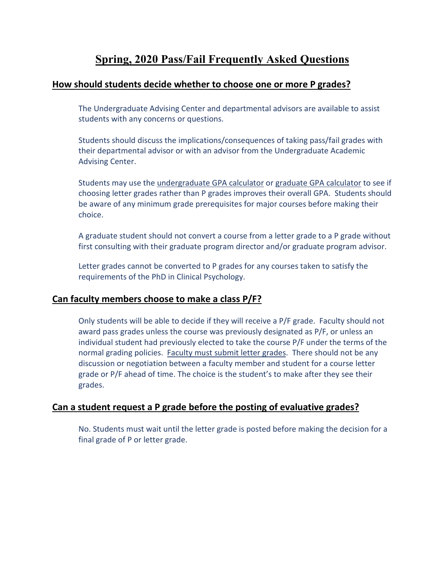# **Spring, 2020 Pass/Fail Frequently Asked Questions**

### **How should students decide whether to choose one or more P grades?**

The Undergraduate Advising Center and departmental advisors are available to assist students with any concerns or questions.

Students should discuss the implications/consequences of taking pass/fail grades with their departmental advisor or with an advisor from the Undergraduate Academic Advising Center.

Students may use the [undergraduate GPA calculator](https://www.suffolk.edu/about/directory/registrars-office/undergraduate-resources-services/grading/gpa-calculator) or [graduate GPA calculator](https://www.suffolk.edu/about/directory/registrars-office/graduate-students/grading/gpa-calculator) to see if choosing letter grades rather than P grades improves their overall GPA. Students should be aware of any minimum grade prerequisites for major courses before making their choice.

A graduate student should not convert a course from a letter grade to a P grade without first consulting with their graduate program director and/or graduate program advisor.

Letter grades cannot be converted to P grades for any courses taken to satisfy the requirements of the PhD in Clinical Psychology.

### **Can faculty members choose to make a class P/F?**

Only students will be able to decide if they will receive a P/F grade. Faculty should not award pass grades unless the course was previously designated as P/F, or unless an individual student had previously elected to take the course P/F under the terms of the normal grading policies. Faculty must submit letter grades. There should not be any discussion or negotiation between a faculty member and student for a course letter grade or P/F ahead of time. The choice is the student's to make after they see their grades.

### **Can a student request a P grade before the posting of evaluative grades?**

No. Students must wait until the letter grade is posted before making the decision for a final grade of P or letter grade.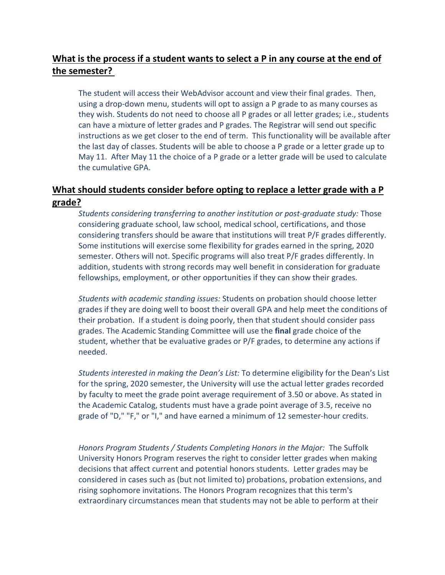## **What is the process if a student wants to select a P in any course at the end of the semester?**

The student will access their WebAdvisor account and view their final grades. Then, using a drop-down menu, students will opt to assign a P grade to as many courses as they wish. Students do not need to choose all P grades or all letter grades; i.e., students can have a mixture of letter grades and P grades. The Registrar will send out specific instructions as we get closer to the end of term. This functionality will be available after the last day of classes. Students will be able to choose a P grade or a letter grade up to May 11. After May 11 the choice of a P grade or a letter grade will be used to calculate the cumulative GPA.

### **What should students consider before opting to replace a letter grade with a P grade?**

*Students considering transferring to another institution or post-graduate study:* Those considering graduate school, law school, medical school, certifications, and those considering transfers should be aware that institutions will treat P/F grades differently. Some institutions will exercise some flexibility for grades earned in the spring, 2020 semester. Others will not. Specific programs will also treat P/F grades differently. In addition, students with strong records may well benefit in consideration for graduate fellowships, employment, or other opportunities if they can show their grades.

*Students with academic standing issues:* Students on probation should choose letter grades if they are doing well to boost their overall GPA and help meet the conditions of their probation. If a student is doing poorly, then that student should consider pass grades. The Academic Standing Committee will use the **final** grade choice of the student, whether that be evaluative grades or P/F grades, to determine any actions if needed.

*Students interested in making the Dean's List:* To determine eligibility for the Dean's List for the spring, 2020 semester, the University will use the actual letter grades recorded by faculty to meet the grade point average requirement of 3.50 or above. As stated in the Academic Catalog, students must have a grade point average of 3.5, receive no grade of "D," "F," or "I," and have earned a minimum of 12 semester-hour credits.

*Honors Program Students / Students Completing Honors in the Major:* The Suffolk University Honors Program reserves the right to consider letter grades when making decisions that affect current and potential honors students. Letter grades may be considered in cases such as (but not limited to) probations, probation extensions, and rising sophomore invitations. The Honors Program recognizes that this term's extraordinary circumstances mean that students may not be able to perform at their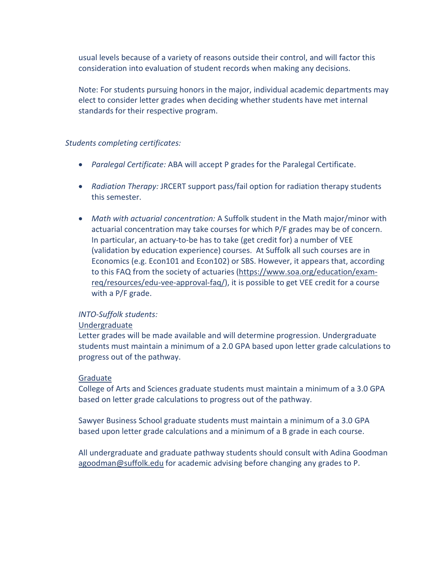usual levels because of a variety of reasons outside their control, and will factor this consideration into evaluation of student records when making any decisions.

Note: For students pursuing honors in the major, individual academic departments may elect to consider letter grades when deciding whether students have met internal standards for their respective program.

#### *Students completing certificates:*

- *Paralegal Certificate:* ABA will accept P grades for the Paralegal Certificate.
- *Radiation Therapy:* JRCERT support pass/fail option for radiation therapy students this semester.
- *Math with actuarial concentration:* A Suffolk student in the Math major/minor with actuarial concentration may take courses for which P/F grades may be of concern. In particular, an actuary-to-be has to take (get credit for) a number of VEE (validation by education experience) courses. At Suffolk all such courses are in Economics (e.g. Econ101 and Econ102) or SBS. However, it appears that, according to this FAQ from the society of actuaries [\(https://www.soa.org/education/exam](https://www.soa.org/education/exam-req/resources/edu-vee-approval-faq/)[req/resources/edu-vee-approval-faq/\)](https://www.soa.org/education/exam-req/resources/edu-vee-approval-faq/), it is possible to get VEE credit for a course with a P/F grade.

#### *INTO-Suffolk students:*

#### Undergraduate

Letter grades will be made available and will determine progression. Undergraduate students must maintain a minimum of a 2.0 GPA based upon letter grade calculations to progress out of the pathway.

#### Graduate

College of Arts and Sciences graduate students must maintain a minimum of a 3.0 GPA based on letter grade calculations to progress out of the pathway.

Sawyer Business School graduate students must maintain a minimum of a 3.0 GPA based upon letter grade calculations and a minimum of a B grade in each course.

All undergraduate and graduate pathway students should consult with Adina Goodman [agoodman@suffolk.edu](mailto:agoodman@suffolk.edu) for academic advising before changing any grades to P.